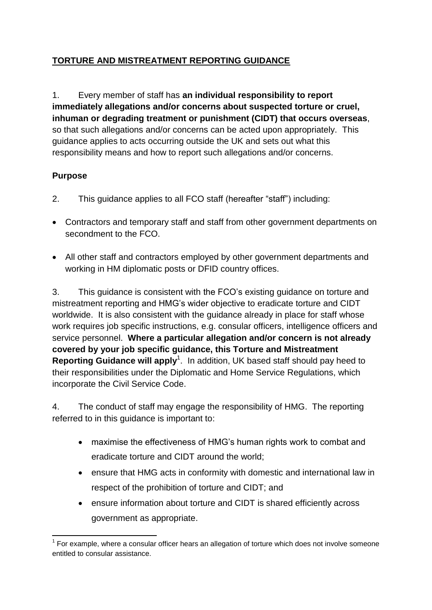## **TORTURE AND MISTREATMENT REPORTING GUIDANCE**

1. Every member of staff has **an individual responsibility to report immediately allegations and/or concerns about suspected torture or cruel, inhuman or degrading treatment or punishment (CIDT) that occurs overseas**, so that such allegations and/or concerns can be acted upon appropriately. This guidance applies to acts occurring outside the UK and sets out what this responsibility means and how to report such allegations and/or concerns.

#### **Purpose**

- 2. This guidance applies to all FCO staff (hereafter "staff") including:
- Contractors and temporary staff and staff from other government departments on secondment to the FCO.
- All other staff and contractors employed by other government departments and working in HM diplomatic posts or DFID country offices.

3. This guidance is consistent with the FCO"s existing guidance on torture and mistreatment reporting and HMG"s wider objective to eradicate torture and CIDT worldwide. It is also consistent with the guidance already in place for staff whose work requires job specific instructions, e.g. consular officers, intelligence officers and service personnel. **Where a particular allegation and/or concern is not already covered by your job specific guidance, this Torture and Mistreatment**  Reporting Guidance will apply<sup>1</sup>. In addition, UK based staff should pay heed to their responsibilities under the Diplomatic and Home Service Regulations, which incorporate the Civil Service Code.

4. The conduct of staff may engage the responsibility of HMG. The reporting referred to in this guidance is important to:

- maximise the effectiveness of HMG"s human rights work to combat and eradicate torture and CIDT around the world;
- ensure that HMG acts in conformity with domestic and international law in respect of the prohibition of torture and CIDT; and
- ensure information about torture and CIDT is shared efficiently across government as appropriate.

**<sup>.</sup>**  $1$  For example, where a consular officer hears an allegation of torture which does not involve someone entitled to consular assistance.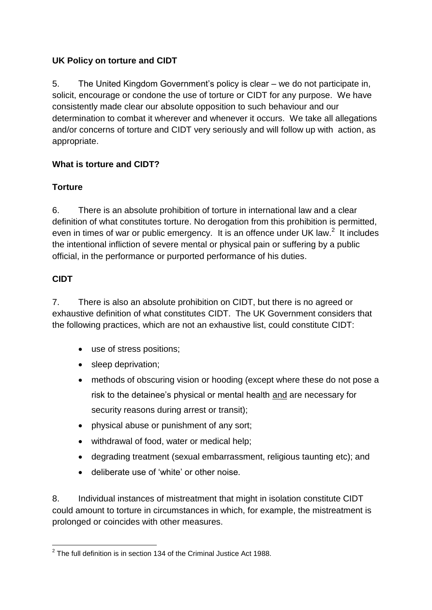#### **UK Policy on torture and CIDT**

5. The United Kingdom Government"s policy is clear – we do not participate in, solicit, encourage or condone the use of torture or CIDT for any purpose. We have consistently made clear our absolute opposition to such behaviour and our determination to combat it wherever and whenever it occurs. We take all allegations and/or concerns of torture and CIDT very seriously and will follow up with action, as appropriate.

# **What is torture and CIDT?**

## **Torture**

6. There is an absolute prohibition of torture in international law and a clear definition of what constitutes torture. No derogation from this prohibition is permitted, even in times of war or public emergency. It is an offence under UK law. $2$  It includes the intentional infliction of severe mental or physical pain or suffering by a public official, in the performance or purported performance of his duties.

## **CIDT**

7. There is also an absolute prohibition on CIDT, but there is no agreed or exhaustive definition of what constitutes CIDT. The UK Government considers that the following practices, which are not an exhaustive list, could constitute CIDT:

- use of stress positions;
- sleep deprivation:
- methods of obscuring vision or hooding (except where these do not pose a risk to the detainee"s physical or mental health and are necessary for security reasons during arrest or transit);
- physical abuse or punishment of any sort;
- withdrawal of food, water or medical help;
- degrading treatment (sexual embarrassment, religious taunting etc); and
- deliberate use of "white" or other noise.

8. Individual instances of mistreatment that might in isolation constitute CIDT could amount to torture in circumstances in which, for example, the mistreatment is prolonged or coincides with other measures.

 2 The full definition is in section 134 of the Criminal Justice Act 1988.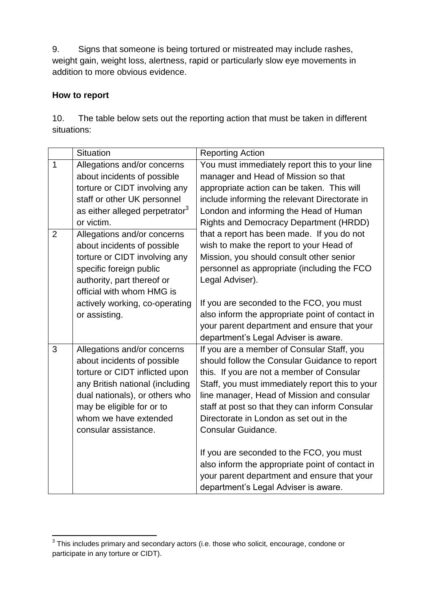9. Signs that someone is being tortured or mistreated may include rashes, weight gain, weight loss, alertness, rapid or particularly slow eye movements in addition to more obvious evidence.

#### **How to report**

| 10.         | The table below sets out the reporting action that must be taken in different |  |
|-------------|-------------------------------------------------------------------------------|--|
| situations: |                                                                               |  |

|   | <b>Situation</b>                           | <b>Reporting Action</b>                         |
|---|--------------------------------------------|-------------------------------------------------|
| 1 | Allegations and/or concerns                | You must immediately report this to your line   |
|   | about incidents of possible                | manager and Head of Mission so that             |
|   | torture or CIDT involving any              | appropriate action can be taken. This will      |
|   | staff or other UK personnel                | include informing the relevant Directorate in   |
|   | as either alleged perpetrator <sup>3</sup> | London and informing the Head of Human          |
|   | or victim.                                 | <b>Rights and Democracy Department (HRDD)</b>   |
| 2 | Allegations and/or concerns                | that a report has been made. If you do not      |
|   | about incidents of possible                | wish to make the report to your Head of         |
|   | torture or CIDT involving any              | Mission, you should consult other senior        |
|   | specific foreign public                    | personnel as appropriate (including the FCO     |
|   | authority, part thereof or                 | Legal Adviser).                                 |
|   | official with whom HMG is                  |                                                 |
|   | actively working, co-operating             | If you are seconded to the FCO, you must        |
|   | or assisting.                              | also inform the appropriate point of contact in |
|   |                                            | your parent department and ensure that your     |
|   |                                            | department's Legal Adviser is aware.            |
| 3 | Allegations and/or concerns                | If you are a member of Consular Staff, you      |
|   | about incidents of possible                | should follow the Consular Guidance to report   |
|   | torture or CIDT inflicted upon             | this. If you are not a member of Consular       |
|   | any British national (including            | Staff, you must immediately report this to your |
|   | dual nationals), or others who             | line manager, Head of Mission and consular      |
|   | may be eligible for or to                  | staff at post so that they can inform Consular  |
|   | whom we have extended                      | Directorate in London as set out in the         |
|   | consular assistance.                       | Consular Guidance.                              |
|   |                                            |                                                 |
|   |                                            | If you are seconded to the FCO, you must        |
|   |                                            | also inform the appropriate point of contact in |
|   |                                            | your parent department and ensure that your     |
|   |                                            | department's Legal Adviser is aware.            |

 3 This includes primary and secondary actors (i.e. those who solicit, encourage, condone or participate in any torture or CIDT).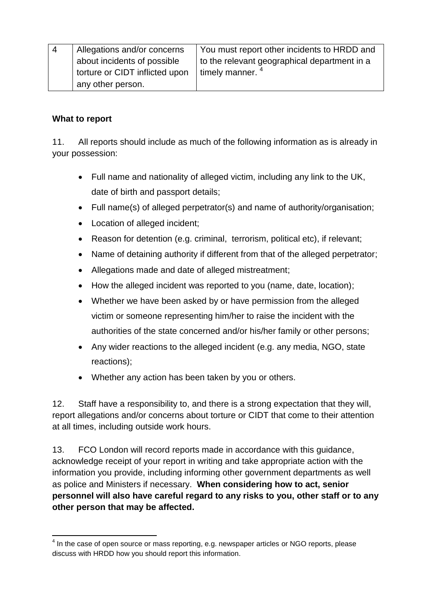| $\overline{4}$ | Allegations and/or concerns    | You must report other incidents to HRDD and  |
|----------------|--------------------------------|----------------------------------------------|
|                | about incidents of possible    | to the relevant geographical department in a |
|                | torture or CIDT inflicted upon | timely manner. $4$                           |
|                | any other person.              |                                              |

#### **What to report**

11. All reports should include as much of the following information as is already in your possession:

- Full name and nationality of alleged victim, including any link to the UK, date of birth and passport details;
- Full name(s) of alleged perpetrator(s) and name of authority/organisation;
- Location of alleged incident;
- Reason for detention (e.g. criminal, terrorism, political etc), if relevant;
- Name of detaining authority if different from that of the alleged perpetrator;
- Allegations made and date of alleged mistreatment;
- How the alleged incident was reported to you (name, date, location);
- Whether we have been asked by or have permission from the alleged victim or someone representing him/her to raise the incident with the authorities of the state concerned and/or his/her family or other persons;
- Any wider reactions to the alleged incident (e.g. any media, NGO, state reactions);
- Whether any action has been taken by you or others.

12. Staff have a responsibility to, and there is a strong expectation that they will, report allegations and/or concerns about torture or CIDT that come to their attention at all times, including outside work hours.

13. FCO London will record reports made in accordance with this guidance, acknowledge receipt of your report in writing and take appropriate action with the information you provide, including informing other government departments as well as police and Ministers if necessary. **When considering how to act, senior personnel will also have careful regard to any risks to you, other staff or to any other person that may be affected.**

**<sup>.</sup>**  $4$  In the case of open source or mass reporting, e.g. newspaper articles or NGO reports, please discuss with HRDD how you should report this information.